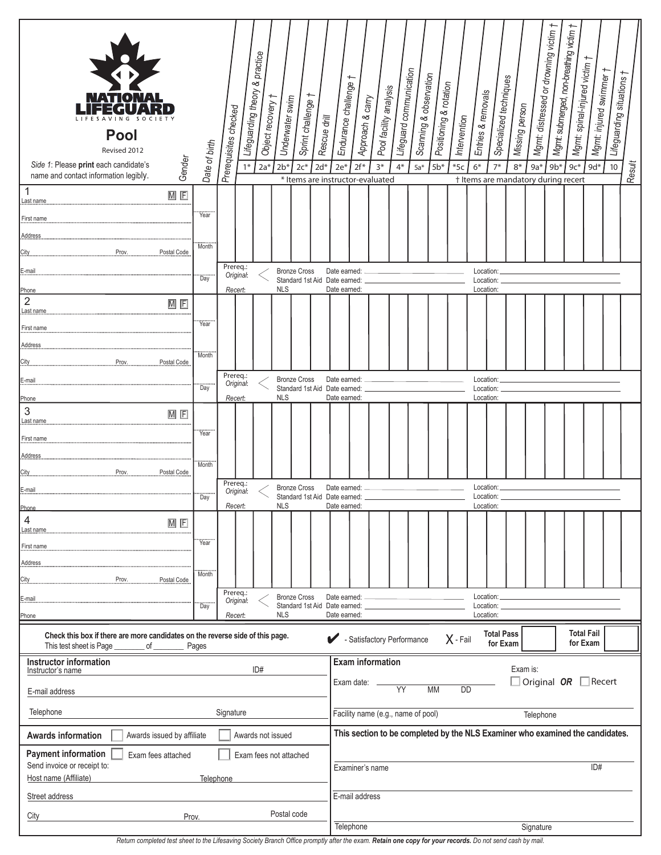| IATIOI<br>G<br><b>Pool</b><br>Revised 2012<br>Gender<br>Side 1: Please print each candidate's<br>name and contact information legibly. | Date of birth | Prerequisites checked<br>$1*$ | Lifeguarding theory & practice<br>Object recovery 1<br>$2a*$ | Underwater swim<br>$2b*$ | Sprint challenge †<br>$2c*$<br>* Items are instructor-evaluated | Rescue drill<br>$2d*$ | Endurance challenge<br>$2e*$                                                                               | Approach & carry<br>$2f*$ | Pool facility analysis<br>$3*$                                                | Lifeguard communication<br>$4*$ | Scanning & observation<br>$5a*$ | Positioning & rotation<br>$5b*$ | Intervention<br>$*5c$ | Entries & removals<br>$6*$ | Specialized techniques<br>$7*$ | Missing person<br>$8*$ | $9a*$<br>† Items are mandatory during recert | Mgmt: distressed or drowning victim<br>$9b*$ | Mgmt submerged, non-breathing victim<br>Mgmt: spinal-injured victim †<br>$9c*$ | Mgmt: injured swimmer †<br>$9d*$ | Lifeguarding situations †<br>10 | Result |
|----------------------------------------------------------------------------------------------------------------------------------------|---------------|-------------------------------|--------------------------------------------------------------|--------------------------|-----------------------------------------------------------------|-----------------------|------------------------------------------------------------------------------------------------------------|---------------------------|-------------------------------------------------------------------------------|---------------------------------|---------------------------------|---------------------------------|-----------------------|----------------------------|--------------------------------|------------------------|----------------------------------------------|----------------------------------------------|--------------------------------------------------------------------------------|----------------------------------|---------------------------------|--------|
| 1<br>$M$ $F$<br>Last name                                                                                                              |               |                               |                                                              |                          |                                                                 |                       |                                                                                                            |                           |                                                                               |                                 |                                 |                                 |                       |                            |                                |                        |                                              |                                              |                                                                                |                                  |                                 |        |
| First name                                                                                                                             | Year          |                               |                                                              |                          |                                                                 |                       |                                                                                                            |                           |                                                                               |                                 |                                 |                                 |                       |                            |                                |                        |                                              |                                              |                                                                                |                                  |                                 |        |
| <b>Address</b>                                                                                                                         |               |                               |                                                              |                          |                                                                 |                       |                                                                                                            |                           |                                                                               |                                 |                                 |                                 |                       |                            |                                |                        |                                              |                                              |                                                                                |                                  |                                 |        |
| Prov.<br>Postal Code<br>City                                                                                                           | Month         |                               |                                                              |                          |                                                                 |                       |                                                                                                            |                           |                                                                               |                                 |                                 |                                 |                       |                            |                                |                        |                                              |                                              |                                                                                |                                  |                                 |        |
| E-mail                                                                                                                                 |               | Prereq.:<br>Original:         |                                                              |                          | <b>Bronze Cross</b>                                             |                       | Date earned:                                                                                               |                           |                                                                               |                                 |                                 |                                 |                       | Location:                  |                                |                        |                                              |                                              |                                                                                |                                  |                                 |        |
| Phone                                                                                                                                  | <br>Day       | Recert:                       |                                                              | <b>NLS</b>               | Standard 1st Aid Date earned:                                   |                       | Date earned:                                                                                               |                           |                                                                               |                                 |                                 |                                 |                       | Location:<br>Location:     |                                |                        |                                              |                                              |                                                                                |                                  |                                 |        |
| $\sqrt{2}$<br>$M$ $F$<br>Last name                                                                                                     |               |                               |                                                              |                          |                                                                 |                       |                                                                                                            |                           |                                                                               |                                 |                                 |                                 |                       |                            |                                |                        |                                              |                                              |                                                                                |                                  |                                 |        |
| First name                                                                                                                             | Year          |                               |                                                              |                          |                                                                 |                       |                                                                                                            |                           |                                                                               |                                 |                                 |                                 |                       |                            |                                |                        |                                              |                                              |                                                                                |                                  |                                 |        |
| Address                                                                                                                                |               |                               |                                                              |                          |                                                                 |                       |                                                                                                            |                           |                                                                               |                                 |                                 |                                 |                       |                            |                                |                        |                                              |                                              |                                                                                |                                  |                                 |        |
| Prov.<br>Postal Code<br>City                                                                                                           | Month         |                               |                                                              |                          |                                                                 |                       |                                                                                                            |                           |                                                                               |                                 |                                 |                                 |                       |                            |                                |                        |                                              |                                              |                                                                                |                                  |                                 |        |
| E-mail                                                                                                                                 | <br>Day       | Prereq.:<br>Original:         |                                                              |                          | <b>Bronze Cross</b>                                             |                       | Date earned:                                                                                               |                           |                                                                               |                                 |                                 |                                 |                       | Location:                  |                                |                        |                                              |                                              |                                                                                |                                  |                                 |        |
| Phone                                                                                                                                  |               | Recert:                       |                                                              | <b>NLS</b>               | Standard 1st Aid Date earned:                                   |                       | Date earned:                                                                                               |                           |                                                                               |                                 |                                 |                                 |                       | Location:<br>Location:     |                                |                        |                                              |                                              |                                                                                |                                  |                                 |        |
| 3<br>$\overline{M}$ $\overline{F}$<br>Last name                                                                                        |               |                               |                                                              |                          |                                                                 |                       |                                                                                                            |                           |                                                                               |                                 |                                 |                                 |                       |                            |                                |                        |                                              |                                              |                                                                                |                                  |                                 |        |
| First name                                                                                                                             | <br>Year      |                               |                                                              |                          |                                                                 |                       |                                                                                                            |                           |                                                                               |                                 |                                 |                                 |                       |                            |                                |                        |                                              |                                              |                                                                                |                                  |                                 |        |
| Address                                                                                                                                |               |                               |                                                              |                          |                                                                 |                       |                                                                                                            |                           |                                                                               |                                 |                                 |                                 |                       |                            |                                |                        |                                              |                                              |                                                                                |                                  |                                 |        |
| Prov.<br>Postal Code<br>City                                                                                                           | Month         |                               |                                                              |                          |                                                                 |                       |                                                                                                            |                           |                                                                               |                                 |                                 |                                 |                       |                            |                                |                        |                                              |                                              |                                                                                |                                  |                                 |        |
| E-mail                                                                                                                                 | <br>Day       | Prereq.:<br>Original:         |                                                              |                          | <b>Bronze Cross</b><br>Standard 1st Aid Date earned:            |                       | Date earned:                                                                                               |                           |                                                                               |                                 |                                 |                                 |                       |                            | Location:<br>Location:         |                        |                                              |                                              |                                                                                |                                  |                                 |        |
| Phone                                                                                                                                  |               | Recert:                       |                                                              | <b>NLS</b>               |                                                                 |                       | Date earned:                                                                                               |                           |                                                                               |                                 |                                 |                                 |                       | Location:                  |                                |                        |                                              |                                              |                                                                                |                                  |                                 |        |
| 4<br>$M$ $F$<br>Last name                                                                                                              |               |                               |                                                              |                          |                                                                 |                       |                                                                                                            |                           |                                                                               |                                 |                                 |                                 |                       |                            |                                |                        |                                              |                                              |                                                                                |                                  |                                 |        |
| First name                                                                                                                             | <br>Year      |                               |                                                              |                          |                                                                 |                       |                                                                                                            |                           |                                                                               |                                 |                                 |                                 |                       |                            |                                |                        |                                              |                                              |                                                                                |                                  |                                 |        |
| Address                                                                                                                                |               |                               |                                                              |                          |                                                                 |                       |                                                                                                            |                           |                                                                               |                                 |                                 |                                 |                       |                            |                                |                        |                                              |                                              |                                                                                |                                  |                                 |        |
| Prov.<br>City<br>Postal Code                                                                                                           | Month         |                               |                                                              |                          |                                                                 |                       |                                                                                                            |                           |                                                                               |                                 |                                 |                                 |                       |                            |                                |                        |                                              |                                              |                                                                                |                                  |                                 |        |
| E-mail                                                                                                                                 | <br>Day       | Prereq.:<br>Original:         |                                                              |                          | <b>Bronze Cross</b><br>Standard 1st Aid Date earned:            |                       | Date earned:                                                                                               |                           |                                                                               |                                 |                                 |                                 |                       | Location:<br>Location:     |                                |                        |                                              |                                              |                                                                                |                                  |                                 |        |
| Phone                                                                                                                                  |               | Recert:                       |                                                              | <b>NLS</b>               |                                                                 |                       | Date earned:                                                                                               |                           |                                                                               |                                 |                                 |                                 |                       | Location:                  |                                |                        |                                              |                                              |                                                                                |                                  |                                 |        |
| Check this box if there are more candidates on the reverse side of this page.<br>This test sheet is Page<br>Pages<br>of _              |               |                               |                                                              |                          |                                                                 |                       | <b>Total Fail</b><br><b>Total Pass</b><br>- Satisfactory Performance<br>$X - Fail$<br>for Exam<br>for Exam |                           |                                                                               |                                 |                                 |                                 |                       |                            |                                |                        |                                              |                                              |                                                                                |                                  |                                 |        |
| <b>Instructor information</b>                                                                                                          |               |                               | ID#                                                          |                          |                                                                 |                       |                                                                                                            |                           | <b>Exam information</b>                                                       |                                 |                                 |                                 |                       |                            |                                |                        | Exam is:                                     |                                              |                                                                                |                                  |                                 |        |
| Instructor's name                                                                                                                      |               |                               |                                                              |                          |                                                                 |                       |                                                                                                            | Exam date:                |                                                                               | <b>YY</b>                       |                                 |                                 |                       |                            |                                |                        |                                              |                                              |                                                                                | Original $OR$ Recert             |                                 |        |
| E-mail address                                                                                                                         |               |                               |                                                              |                          |                                                                 |                       |                                                                                                            |                           |                                                                               |                                 | <b>MM</b>                       | <b>DD</b>                       |                       |                            |                                |                        |                                              |                                              |                                                                                |                                  |                                 |        |
| Telephone                                                                                                                              |               | Signature                     |                                                              |                          |                                                                 |                       |                                                                                                            |                           | Facility name (e.g., name of pool)                                            |                                 |                                 |                                 |                       |                            |                                |                        | Telephone                                    |                                              |                                                                                |                                  |                                 |        |
| Awards issued by affiliate<br><b>Awards information</b>                                                                                |               |                               | Awards not issued                                            |                          |                                                                 |                       |                                                                                                            |                           | This section to be completed by the NLS Examiner who examined the candidates. |                                 |                                 |                                 |                       |                            |                                |                        |                                              |                                              |                                                                                |                                  |                                 |        |
| <b>Payment information</b><br>Exam fees attached                                                                                       |               |                               |                                                              |                          | Exam fees not attached                                          |                       |                                                                                                            |                           |                                                                               |                                 |                                 |                                 |                       |                            |                                |                        |                                              |                                              |                                                                                |                                  |                                 |        |
| Send invoice or receipt to:<br>Host name (Affiliate)                                                                                   |               | Telephone                     |                                                              |                          |                                                                 |                       |                                                                                                            |                           | Examiner's name                                                               |                                 |                                 |                                 |                       |                            |                                |                        |                                              |                                              |                                                                                | ID#                              |                                 |        |
| Street address                                                                                                                         |               |                               |                                                              |                          |                                                                 |                       |                                                                                                            | E-mail address            |                                                                               |                                 |                                 |                                 |                       |                            |                                |                        |                                              |                                              |                                                                                |                                  |                                 |        |
| City                                                                                                                                   | Prov.         |                               |                                                              |                          | Postal code                                                     |                       |                                                                                                            |                           |                                                                               |                                 |                                 |                                 |                       |                            |                                |                        |                                              |                                              |                                                                                |                                  |                                 |        |
|                                                                                                                                        |               |                               |                                                              |                          |                                                                 |                       |                                                                                                            | Telephone                 |                                                                               |                                 |                                 |                                 |                       |                            |                                |                        | Signature                                    |                                              |                                                                                |                                  |                                 |        |

| Return completed test sheet to the Lifesaving Society Branch Office promptly after the exam. Retain one copy for your records. Do not send cash by mail. |  |  |
|----------------------------------------------------------------------------------------------------------------------------------------------------------|--|--|